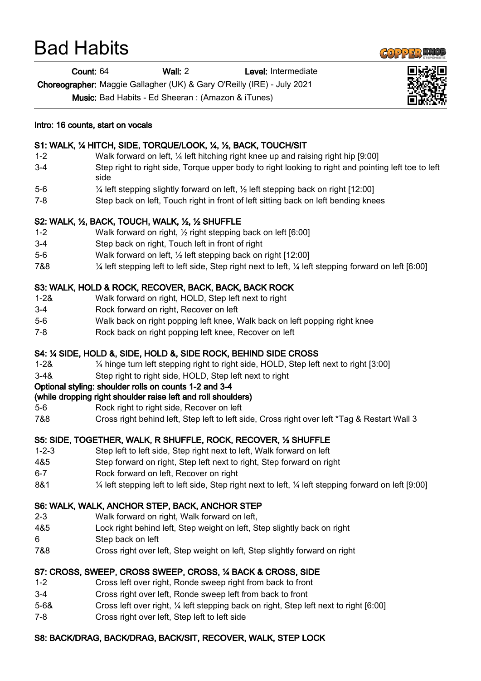# Bad Habits

Count: 64 Wall: 2 Level: Intermediate

Choreographer: Maggie Gallagher (UK) & Gary O'Reilly (IRE) - July 2021

Music: Bad Habits - Ed Sheeran : (Amazon & iTunes)



#### Intro: 16 counts, start on vocals

## S1: WALK, ¼ HITCH, SIDE, TORQUE/LOOK, ¼, ½, BACK, TOUCH/SIT

- 1-2 Walk forward on left, ¼ left hitching right knee up and raising right hip [9:00]
- 3-4 Step right to right side, Torque upper body to right looking to right and pointing left toe to left side
- 5-6 ¼ left stepping slightly forward on left, ½ left stepping back on right [12:00]
- 7-8 Step back on left, Touch right in front of left sitting back on left bending knees

#### S2: WALK, ½, BACK, TOUCH, WALK, ½, ½ SHUFFLE

- 1-2 Walk forward on right, ½ right stepping back on left [6:00]
- 3-4 Step back on right, Touch left in front of right
- 5-6 Walk forward on left, ½ left stepping back on right [12:00]
- 7&8 ¼ left stepping left to left side, Step right next to left, ¼ left stepping forward on left [6:00]

# S3: WALK, HOLD & ROCK, RECOVER, BACK, BACK, BACK ROCK

- 1-2& Walk forward on right, HOLD, Step left next to right
- 3-4 Rock forward on right, Recover on left
- 5-6 Walk back on right popping left knee, Walk back on left popping right knee
- 7-8 Rock back on right popping left knee, Recover on left

## S4: ¼ SIDE, HOLD &, SIDE, HOLD &, SIDE ROCK, BEHIND SIDE CROSS

- 1-2& ¼ hinge turn left stepping right to right side, HOLD, Step left next to right [3:00]
- 3-4& Step right to right side, HOLD, Step left next to right

## Optional styling: shoulder rolls on counts 1-2 and 3-4

## (while dropping right shoulder raise left and roll shoulders)

- 5-6 Rock right to right side, Recover on left
- 7&8 Cross right behind left, Step left to left side, Cross right over left \*Tag & Restart Wall 3

## S5: SIDE, TOGETHER, WALK, R SHUFFLE, ROCK, RECOVER, ½ SHUFFLE

- 1-2-3 Step left to left side, Step right next to left, Walk forward on left
- 4&5 Step forward on right, Step left next to right, Step forward on right
- 6-7 Rock forward on left, Recover on right
- 8&1 ¼ left stepping left to left side, Step right next to left, ¼ left stepping forward on left [9:00]

## S6: WALK, WALK, ANCHOR STEP, BACK, ANCHOR STEP

- 2-3 Walk forward on right, Walk forward on left,
- 4&5 Lock right behind left, Step weight on left, Step slightly back on right
- 6 Step back on left
- 7&8 Cross right over left, Step weight on left, Step slightly forward on right

## S7: CROSS, SWEEP, CROSS SWEEP, CROSS, ¼ BACK & CROSS, SIDE

- 1-2 Cross left over right, Ronde sweep right from back to front
- 3-4 Cross right over left, Ronde sweep left from back to front
- 5-6& Cross left over right, ¼ left stepping back on right, Step left next to right [6:00]
- 7-8 Cross right over left, Step left to left side

## S8: BACK/DRAG, BACK/DRAG, BACK/SIT, RECOVER, WALK, STEP LOCK